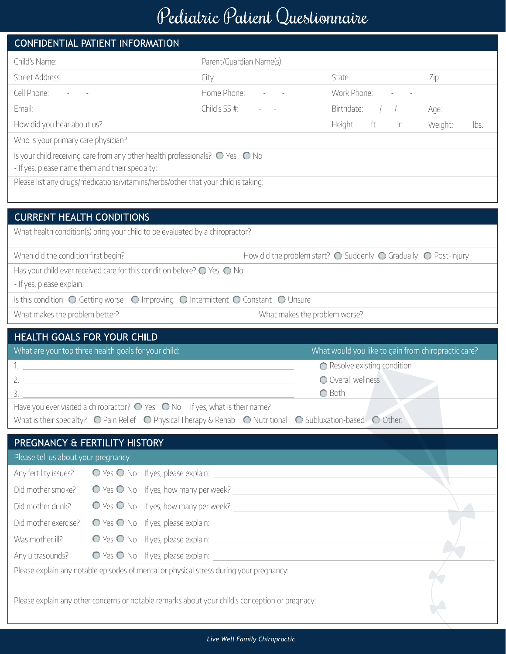## Pediatric Patient Questionnaire

|                                                 | CONFIDENTIAL PATIENT INFORMATION                                                                |                                                |                                                                                                                                                           |                 |
|-------------------------------------------------|-------------------------------------------------------------------------------------------------|------------------------------------------------|-----------------------------------------------------------------------------------------------------------------------------------------------------------|-----------------|
| Child's Name:                                   |                                                                                                 | Parent/Guardian Name(s):                       |                                                                                                                                                           |                 |
| Street Address:                                 |                                                                                                 | City:                                          | State:                                                                                                                                                    | Zip:            |
| Cell Phone: - -                                 |                                                                                                 | Home Phone: Fig. 2014                          | Work Phone:                                                                                                                                               |                 |
| Email:                                          |                                                                                                 | Child's SS #:                                  | Birthdate:                                                                                                                                                | Age:            |
| How did you hear about us?                      |                                                                                                 |                                                | Height:<br>ft.<br>in.                                                                                                                                     | Weight:<br>lbs. |
| Who is your primary care physician?             |                                                                                                 |                                                |                                                                                                                                                           |                 |
|                                                 | Is your child receiving care from any other health professionals? $\bigcirc$ Yes $\bigcirc$ No  |                                                |                                                                                                                                                           |                 |
| - If yes, please name them and their specialty: |                                                                                                 |                                                |                                                                                                                                                           |                 |
|                                                 | Please list any drugs/medications/vitamins/herbs/other that your child is taking:               |                                                |                                                                                                                                                           |                 |
|                                                 |                                                                                                 |                                                |                                                                                                                                                           |                 |
| <b>CURRENT HEALTH CONDITIONS</b>                |                                                                                                 |                                                |                                                                                                                                                           |                 |
|                                                 | What health condition(s) bring your child to be evaluated by a chiropractor?                    |                                                |                                                                                                                                                           |                 |
| When did the condition first begin?             |                                                                                                 |                                                | How did the problem start? $\bigcirc$ Suddenly $\bigcirc$ Gradually $\bigcirc$ Post-Injury                                                                |                 |
|                                                 | Has your child ever received care for this condition before? $\bigcirc$ Yes $\bigcirc$ No       |                                                |                                                                                                                                                           |                 |
| - If yes, please explain:                       |                                                                                                 |                                                |                                                                                                                                                           |                 |
| Is this condition: O Getting worse              |                                                                                                 | ○ Improving ○ Intermittent ○ Constant ○ Unsure |                                                                                                                                                           |                 |
| What makes the problem better?                  |                                                                                                 |                                                | What makes the problem worse?                                                                                                                             |                 |
|                                                 |                                                                                                 |                                                |                                                                                                                                                           |                 |
| <b>HEALTH GOALS FOR YOUR CHILD</b>              |                                                                                                 |                                                |                                                                                                                                                           |                 |
|                                                 | What are your top three health goals for your child:                                            |                                                | What would you like to gain from chiropractic care?                                                                                                       |                 |
|                                                 |                                                                                                 |                                                | ◯ Resolve existing condition                                                                                                                              |                 |
|                                                 |                                                                                                 |                                                | O Overall wellness                                                                                                                                        |                 |
| 3.                                              | Have you ever visited a chiropractor? $\bigcirc$ Yes $\bigcirc$ No If yes, what is their name?  |                                                | ◯ Both                                                                                                                                                    |                 |
|                                                 |                                                                                                 |                                                | What is their specialty? $\bigcirc$ Pain Relief $\bigcirc$ Physical Therapy & Rehab $\bigcirc$ Nutritional $\bigcirc$ Subluxation-based $\bigcirc$ Other: |                 |
|                                                 |                                                                                                 |                                                |                                                                                                                                                           |                 |
| Please tell us about your pregnancy             | PREGNANCY & FERTILITY HISTORY                                                                   |                                                |                                                                                                                                                           |                 |
| Any fertility issues?                           |                                                                                                 |                                                |                                                                                                                                                           |                 |
| Did mother smoke?                               |                                                                                                 |                                                |                                                                                                                                                           |                 |
| Did mother drink?                               |                                                                                                 |                                                |                                                                                                                                                           |                 |
| Did mother exercise?                            |                                                                                                 |                                                |                                                                                                                                                           |                 |
| Was mother ill?                                 |                                                                                                 |                                                |                                                                                                                                                           |                 |
| Any ultrasounds?                                |                                                                                                 |                                                |                                                                                                                                                           |                 |
|                                                 | Please explain any notable episodes of mental or physical stress during your pregnancy:         |                                                |                                                                                                                                                           |                 |
|                                                 |                                                                                                 |                                                |                                                                                                                                                           |                 |
|                                                 | Please explain any other concerns or notable remarks about your child's conception or pregnacy: |                                                |                                                                                                                                                           |                 |